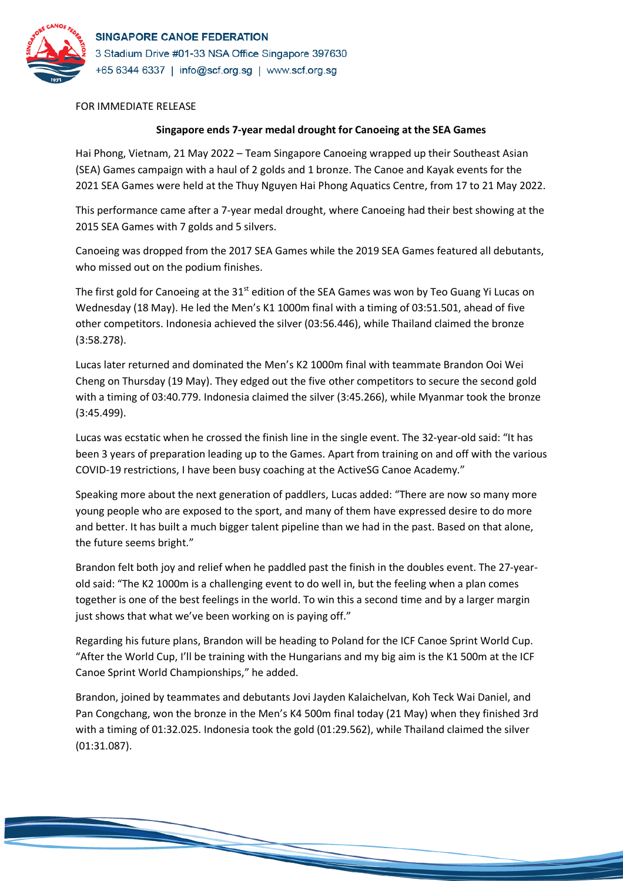

FOR IMMEDIATE RELEASE

## **Singapore ends 7-year medal drought for Canoeing at the SEA Games**

Hai Phong, Vietnam, 21 May 2022 – Team Singapore Canoeing wrapped up their Southeast Asian (SEA) Games campaign with a haul of 2 golds and 1 bronze. The Canoe and Kayak events for the 2021 SEA Games were held at the Thuy Nguyen Hai Phong Aquatics Centre, from 17 to 21 May 2022.

This performance came after a 7-year medal drought, where Canoeing had their best showing at the 2015 SEA Games with 7 golds and 5 silvers.

Canoeing was dropped from the 2017 SEA Games while the 2019 SEA Games featured all debutants, who missed out on the podium finishes.

The first gold for Canoeing at the 31<sup>st</sup> edition of the SEA Games was won by Teo Guang Yi Lucas on Wednesday (18 May). He led the Men's K1 1000m final with a timing of 03:51.501, ahead of five other competitors. Indonesia achieved the silver (03:56.446), while Thailand claimed the bronze (3:58.278).

Lucas later returned and dominated the Men's K2 1000m final with teammate Brandon Ooi Wei Cheng on Thursday (19 May). They edged out the five other competitors to secure the second gold with a timing of 03:40.779. Indonesia claimed the silver (3:45.266), while Myanmar took the bronze (3:45.499).

Lucas was ecstatic when he crossed the finish line in the single event. The 32-year-old said: "It has been 3 years of preparation leading up to the Games. Apart from training on and off with the various COVID-19 restrictions, I have been busy coaching at the ActiveSG Canoe Academy."

Speaking more about the next generation of paddlers, Lucas added: "There are now so many more young people who are exposed to the sport, and many of them have expressed desire to do more and better. It has built a much bigger talent pipeline than we had in the past. Based on that alone, the future seems bright."

Brandon felt both joy and relief when he paddled past the finish in the doubles event. The 27-yearold said: "The K2 1000m is a challenging event to do well in, but the feeling when a plan comes together is one of the best feelings in the world. To win this a second time and by a larger margin just shows that what we've been working on is paying off."

Regarding his future plans, Brandon will be heading to Poland for the ICF Canoe Sprint World Cup. "After the World Cup, I'll be training with the Hungarians and my big aim is the K1 500m at the ICF Canoe Sprint World Championships," he added.

Brandon, joined by teammates and debutants Jovi Jayden Kalaichelvan, Koh Teck Wai Daniel, and Pan Congchang, won the bronze in the Men's K4 500m final today (21 May) when they finished 3rd with a timing of 01:32.025. Indonesia took the gold (01:29.562), while Thailand claimed the silver (01:31.087).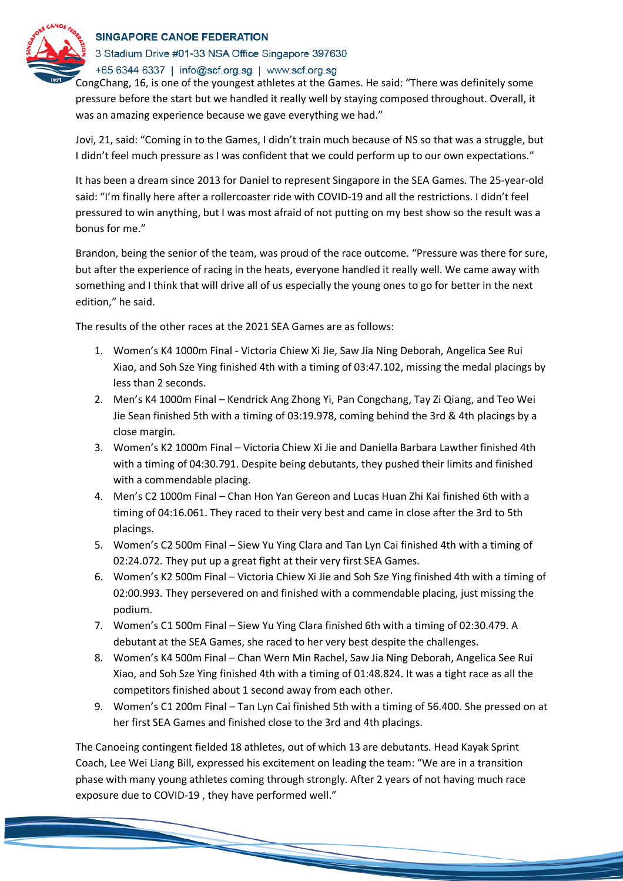

## SINGAPORE CANOE FEDERATION

3 Stadium Drive #01-33 NSA Office Singapore 397630

+65 6344 6337 | info@scf.org.sg | www.scf.org.sg

CongChang, 16, is one of the youngest athletes at the Games. He said: "There was definitely some pressure before the start but we handled it really well by staying composed throughout. Overall, it was an amazing experience because we gave everything we had."

Jovi, 21, said: "Coming in to the Games, I didn't train much because of NS so that was a struggle, but I didn't feel much pressure as I was confident that we could perform up to our own expectations."

It has been a dream since 2013 for Daniel to represent Singapore in the SEA Games. The 25-year-old said: "I'm finally here after a rollercoaster ride with COVID-19 and all the restrictions. I didn't feel pressured to win anything, but I was most afraid of not putting on my best show so the result was a bonus for me."

Brandon, being the senior of the team, was proud of the race outcome. "Pressure was there for sure, but after the experience of racing in the heats, everyone handled it really well. We came away with something and I think that will drive all of us especially the young ones to go for better in the next edition," he said.

The results of the other races at the 2021 SEA Games are as follows:

- 1. Women's K4 1000m Final Victoria Chiew Xi Jie, Saw Jia Ning Deborah, Angelica See Rui Xiao, and Soh Sze Ying finished 4th with a timing of 03:47.102, missing the medal placings by less than 2 seconds.
- 2. Men's K4 1000m Final Kendrick Ang Zhong Yi, Pan Congchang, Tay Zi Qiang, and Teo Wei Jie Sean finished 5th with a timing of 03:19.978, coming behind the 3rd & 4th placings by a close margin.
- 3. Women's K2 1000m Final Victoria Chiew Xi Jie and Daniella Barbara Lawther finished 4th with a timing of 04:30.791. Despite being debutants, they pushed their limits and finished with a commendable placing.
- 4. Men's C2 1000m Final Chan Hon Yan Gereon and Lucas Huan Zhi Kai finished 6th with a timing of 04:16.061. They raced to their very best and came in close after the 3rd to 5th placings.
- 5. Women's C2 500m Final Siew Yu Ying Clara and Tan Lyn Cai finished 4th with a timing of 02:24.072. They put up a great fight at their very first SEA Games.
- 6. Women's K2 500m Final Victoria Chiew Xi Jie and Soh Sze Ying finished 4th with a timing of 02:00.993. They persevered on and finished with a commendable placing, just missing the podium.
- 7. Women's C1 500m Final Siew Yu Ying Clara finished 6th with a timing of 02:30.479. A debutant at the SEA Games, she raced to her very best despite the challenges.
- 8. Women's K4 500m Final Chan Wern Min Rachel, Saw Jia Ning Deborah, Angelica See Rui Xiao, and Soh Sze Ying finished 4th with a timing of 01:48.824. It was a tight race as all the competitors finished about 1 second away from each other.
- 9. Women's C1 200m Final Tan Lyn Cai finished 5th with a timing of 56.400. She pressed on at her first SEA Games and finished close to the 3rd and 4th placings.

The Canoeing contingent fielded 18 athletes, out of which 13 are debutants. Head Kayak Sprint Coach, Lee Wei Liang Bill, expressed his excitement on leading the team: "We are in a transition phase with many young athletes coming through strongly. After 2 years of not having much race exposure due to COVID-19 , they have performed well."